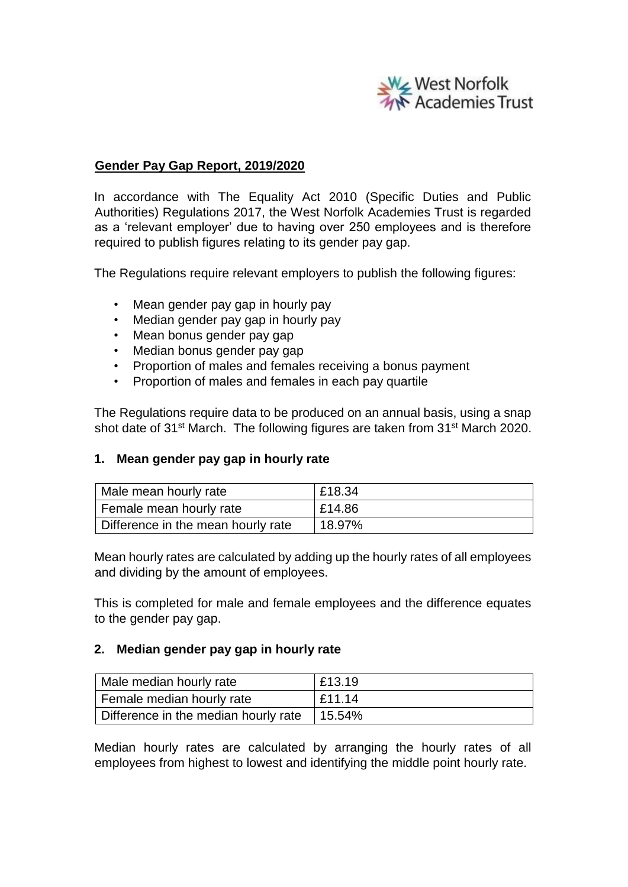

### **Gender Pay Gap Report, 2019/2020**

In accordance with The Equality Act 2010 (Specific Duties and Public Authorities) Regulations 2017, the West Norfolk Academies Trust is regarded as a 'relevant employer' due to having over 250 employees and is therefore required to publish figures relating to its gender pay gap.

The Regulations require relevant employers to publish the following figures:

- Mean gender pay gap in hourly pay
- Median gender pay gap in hourly pay
- Mean bonus gender pay gap
- Median bonus gender pay gap
- Proportion of males and females receiving a bonus payment
- Proportion of males and females in each pay quartile

The Regulations require data to be produced on an annual basis, using a snap shot date of 31<sup>st</sup> March. The following figures are taken from 31<sup>st</sup> March 2020.

#### **1. Mean gender pay gap in hourly rate**

| Male mean hourly rate              | £18.34 |
|------------------------------------|--------|
| Female mean hourly rate            | £14.86 |
| Difference in the mean hourly rate | 18.97% |

Mean hourly rates are calculated by adding up the hourly rates of all employees and dividing by the amount of employees.

This is completed for male and female employees and the difference equates to the gender pay gap.

#### **2. Median gender pay gap in hourly rate**

| Male median hourly rate              | £13.19 |
|--------------------------------------|--------|
| Female median hourly rate            | £11.14 |
| Difference in the median hourly rate | 15.54% |

Median hourly rates are calculated by arranging the hourly rates of all employees from highest to lowest and identifying the middle point hourly rate.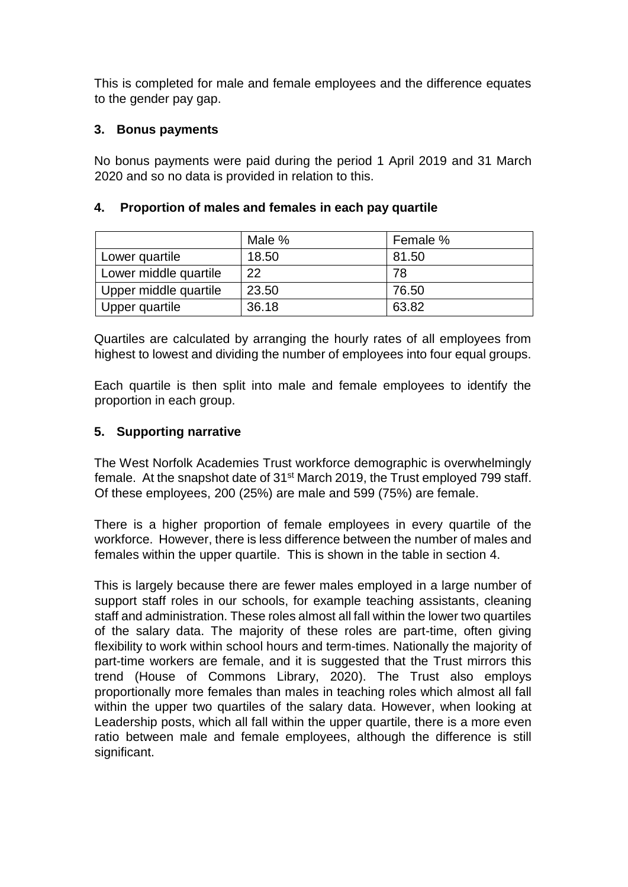This is completed for male and female employees and the difference equates to the gender pay gap.

## **3. Bonus payments**

No bonus payments were paid during the period 1 April 2019 and 31 March 2020 and so no data is provided in relation to this.

|                       | Male % | Female % |
|-----------------------|--------|----------|
| Lower quartile        | 18.50  | 81.50    |
| Lower middle quartile | 22     | 78       |
| Upper middle quartile | 23.50  | 76.50    |
| Upper quartile        | 36.18  | 63.82    |

# **4. Proportion of males and females in each pay quartile**

Quartiles are calculated by arranging the hourly rates of all employees from highest to lowest and dividing the number of employees into four equal groups.

Each quartile is then split into male and female employees to identify the proportion in each group.

## **5. Supporting narrative**

The West Norfolk Academies Trust workforce demographic is overwhelmingly female. At the snapshot date of 31<sup>st</sup> March 2019, the Trust employed 799 staff. Of these employees, 200 (25%) are male and 599 (75%) are female.

There is a higher proportion of female employees in every quartile of the workforce. However, there is less difference between the number of males and females within the upper quartile. This is shown in the table in section 4.

This is largely because there are fewer males employed in a large number of support staff roles in our schools, for example teaching assistants, cleaning staff and administration. These roles almost all fall within the lower two quartiles of the salary data. The majority of these roles are part-time, often giving flexibility to work within school hours and term-times. Nationally the majority of part-time workers are female, and it is suggested that the Trust mirrors this trend (House of Commons Library, 2020). The Trust also employs proportionally more females than males in teaching roles which almost all fall within the upper two quartiles of the salary data. However, when looking at Leadership posts, which all fall within the upper quartile, there is a more even ratio between male and female employees, although the difference is still significant.